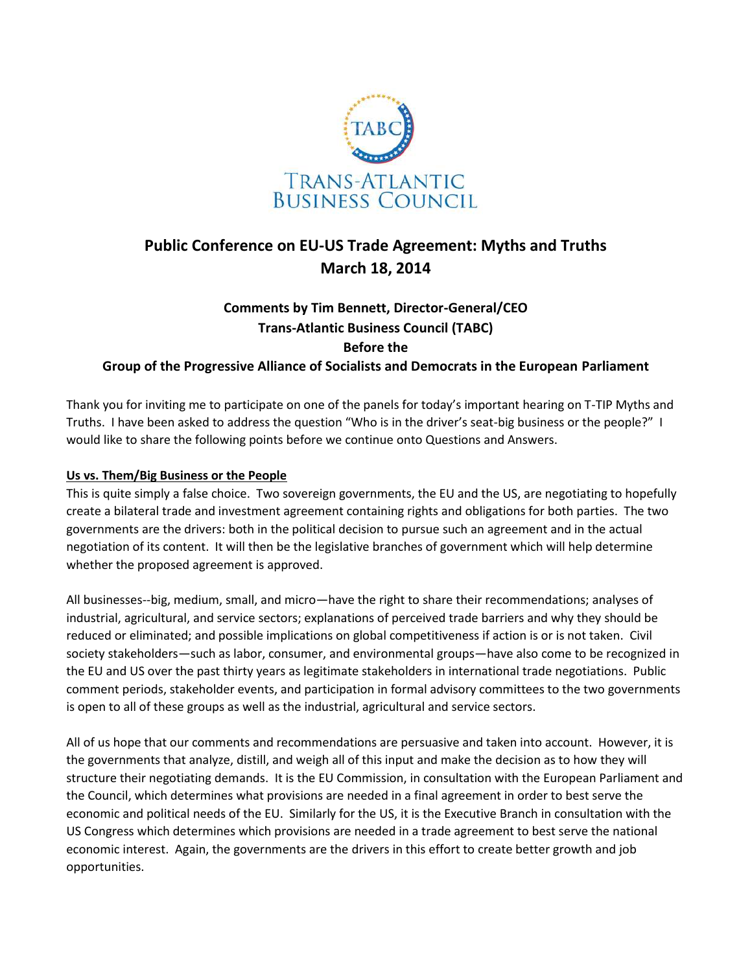

## **Public Conference on EU-US Trade Agreement: Myths and Truths March 18, 2014**

# **Comments by Tim Bennett, Director-General/CEO Trans-Atlantic Business Council (TABC) Before the**

**Group of the Progressive Alliance of Socialists and Democrats in the European Parliament**

Thank you for inviting me to participate on one of the panels for today's important hearing on T-TIP Myths and Truths. I have been asked to address the question "Who is in the driver's seat-big business or the people?" I would like to share the following points before we continue onto Questions and Answers.

## **Us vs. Them/Big Business or the People**

This is quite simply a false choice. Two sovereign governments, the EU and the US, are negotiating to hopefully create a bilateral trade and investment agreement containing rights and obligations for both parties. The two governments are the drivers: both in the political decision to pursue such an agreement and in the actual negotiation of its content. It will then be the legislative branches of government which will help determine whether the proposed agreement is approved.

All businesses--big, medium, small, and micro—have the right to share their recommendations; analyses of industrial, agricultural, and service sectors; explanations of perceived trade barriers and why they should be reduced or eliminated; and possible implications on global competitiveness if action is or is not taken. Civil society stakeholders—such as labor, consumer, and environmental groups—have also come to be recognized in the EU and US over the past thirty years as legitimate stakeholders in international trade negotiations. Public comment periods, stakeholder events, and participation in formal advisory committees to the two governments is open to all of these groups as well as the industrial, agricultural and service sectors.

All of us hope that our comments and recommendations are persuasive and taken into account. However, it is the governments that analyze, distill, and weigh all of this input and make the decision as to how they will structure their negotiating demands. It is the EU Commission, in consultation with the European Parliament and the Council, which determines what provisions are needed in a final agreement in order to best serve the economic and political needs of the EU. Similarly for the US, it is the Executive Branch in consultation with the US Congress which determines which provisions are needed in a trade agreement to best serve the national economic interest. Again, the governments are the drivers in this effort to create better growth and job opportunities.